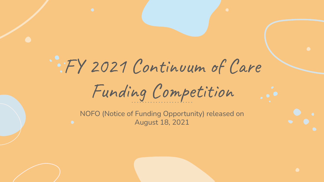# FY 2021 Continuum of Care Funding Competition

NOFO (Notice of Funding Opportunity) released on August 18, 2021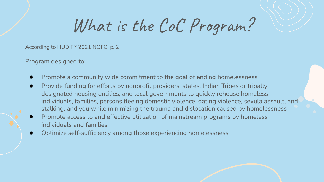What is the CoC Program?

According to HUD FY 2021 NOFO, p. 2

Program designed to:

- Promote a community wide commitment to the goal of ending homelessness
- Provide funding for efforts by nonprofit providers, states, Indian Tribes or tribally designated housing entities, and local governments to quickly rehouse homeless individuals, families, persons fleeing domestic violence, dating violence, sexula assault, and stalking, and you while minimizing the trauma and dislocation caused by homelessness
- Promote access to and effective utilization of mainstream programs by homeless individuals and families
- Optimize self-sufficiency among those experiencing homelessness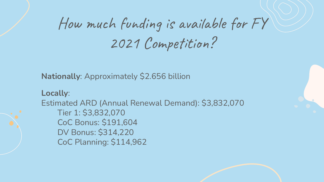## How much funding is available for FY 2021 Competition?

**Nationally**: Approximately \$2.656 billion

**Locally**: Estimated ARD (Annual Renewal Demand): \$3,832,070 Tier 1: \$3,832,070 CoC Bonus: \$191,604 DV Bonus: \$314,220 CoC Planning: \$114,962

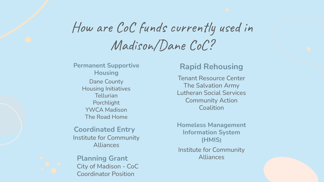### How are CoC funds currently used in Madison/Dane CoC?

**Permanent Supportive Housing** Dane County Housing Initiatives **Tellurian** Porchlight YWCA Madison The Road Home

**Coordinated Entry** Institute for Community Alliances

**Planning Grant** Alliances City of Madison - CoC Coordinator Position

### **Rapid Rehousing**

Tenant Resource Center The Salvation Army Lutheran Social Services Community Action **Coalition** 

**Homeless Management Information System (HMIS)**

Institute for Community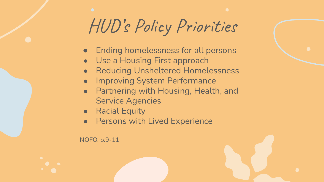## HUD's Policy Priorities

- Ending homelessness for all persons
- Use a Housing First approach
- **Reducing Unsheltered Homelessness**
- **Improving System Performance**
- Partnering with Housing, Health, and Service Agencies
- Racial Equity
- Persons with Lived Experience

NOFO, p.9-11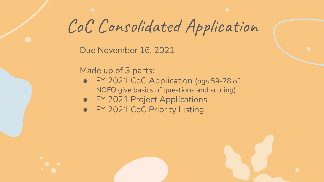CoC Consolidated Application

Due November 16, 2021

Made up of 3 parts:

- FY 2021 CoC Application (pgs 59-78 of NOFO give basics of questions and scoring)
- FY 2021 Project Applications
- FY 2021 CoC Priority Listing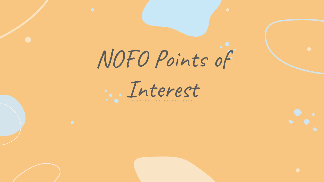

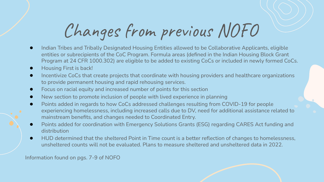# Changes from previous NOFO

- Indian Tribes and Tribally Designated Housing Entities allowed to be Collaborative Applicants, eligible entities or subrecipients of the CoC Program. Formula areas (defined in the Indian Housing Block Grant Program at 24 CFR 1000.302) are eligible to be added to existing CoCs or included in newly formed CoCs.
- **Housing First is back!**
- Incentivize CoCs that create projects that coordinate with housing providers and healthcare organizations to provide permanent housing and rapid rehousing services.
- Focus on racial equity and increased number of points for this section
- New section to promote inclusion of people with lived experience in planning
- Points added in regards to how CoCs addressed challenges resulting from COVID-19 for people experiencing homelessness, including increased calls due to DV, need for additional assistance related to mainstream benefits, and changes needed to Coordinated Entry.
- Points added for coordination with Emergency Solutions Grants (ESG) regarding CARES Act funding and distribution
- HUD determined that the sheltered Point in Time count is a better reflection of changes to homelessness, unsheltered counts will not be evaluated. Plans to measure sheltered and unsheltered data in 2022.

Information found on pgs. 7-9 of NOFO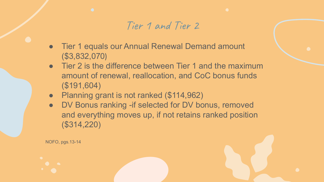### Tier 1 and Tier 2

- Tier 1 equals our Annual Renewal Demand amount (\$3,832,070)
- Tier 2 is the difference between Tier 1 and the maximum amount of renewal, reallocation, and CoC bonus funds (\$191,604)
- Planning grant is not ranked (\$114,962)

NOFO, pgs.13-14

• DV Bonus ranking -if selected for DV bonus, removed and everything moves up, if not retains ranked position (\$314,220)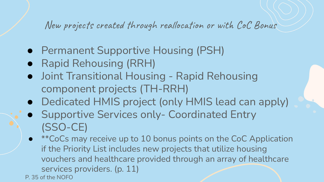New projects created through reallocation or with CoC Bonus

- Permanent Supportive Housing (PSH)
- Rapid Rehousing (RRH)
- Joint Transitional Housing Rapid Rehousing component projects (TH-RRH)
- Dedicated HMIS project (only HMIS lead can apply)
- Supportive Services only- Coordinated Entry (SSO-CE)
- <sup>\*\*</sup>CoCs may receive up to 10 bonus points on the CoC Application if the Priority List includes new projects that utilize housing vouchers and healthcare provided through an array of healthcare services providers. (p. 11) P. 35 of the NOFO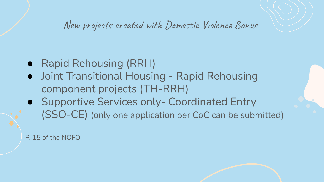New projects created with Domestic Violence Bonus

- Rapid Rehousing (RRH)
- Joint Transitional Housing Rapid Rehousing component projects (TH-RRH)
- Supportive Services only- Coordinated Entry (SSO-CE) (only one application per CoC can be submitted)

P. 15 of the NOFO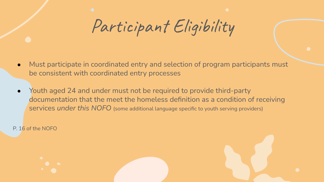Participant Eligibility

- Must participate in coordinated entry and selection of program participants must be consistent with coordinated entry processes
- Youth aged 24 and under must not be required to provide third-party documentation that the meet the homeless definition as a condition of receiving services *under this NOFO* (some additional language specific to youth serving providers)

P. 16 of the NOFO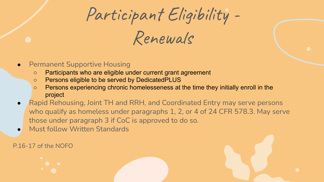Participant Eligibility -

Renewals

- **Permanent Supportive Housing** 
	- Participants who are eligible under current grant agreement
	- Persons eligible to be served by DedicatedPLUS
	- Persons experiencing chronic homelesseness at the time they initially enroll in the project
- Rapid Rehousing, Joint TH and RRH, and Coordinated Entry may serve persons who qualify as homeless under paragraphs 1, 2, or 4 of 24 CFR 578.3. May serve those under paragraph 3 if CoC is approved to do so.
- Must follow Written Standards

#### P.16-17 of the NOFO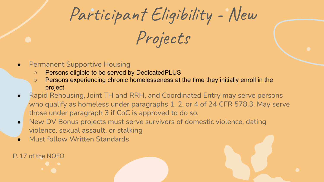Participant Eligibility - New

Projects

- **Permanent Supportive Housing** 
	- Persons eligible to be served by DedicatedPLUS
	- Persons experiencing chronic homelesseness at the time they initially enroll in the project
- Rapid Rehousing, Joint TH and RRH, and Coordinated Entry may serve persons who qualify as homeless under paragraphs 1, 2, or 4 of 24 CFR 578.3. May serve those under paragraph 3 if CoC is approved to do so.
- New DV Bonus projects must serve survivors of domestic violence, dating violence, sexual assault, or stalking
- **Must follow Written Standards**

P. 17 of the NOFO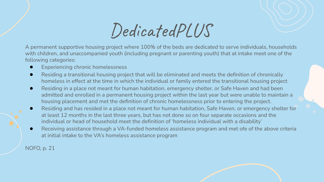DedicatedPLUS

A permanent supportive housing project where 100% of the beds are dedicated to serve individuals, households with children, and unaccompanied youth (including pregnant or parenting youth) that at intake meet one of the following categories:

- Experiencing chronic homelessness
- Residing a transitional housing project that will be eliminated and meets the definition of chronically homeless in effect at the time in which the individual or family entered the transitional housing project
- Residing in a place not meant for human habitation, emergency shelter, or Safe Haven and had been admitted and enrolled in a permanent housing project within the last year but were unable to maintain a housing placement and met the definition of chronic homelessness prior to entering the project.
- Residing and has resided in a place not meant for human habitation, Safe Haven, or emergency shelter for at least 12 months in the last three years, but has not done so on four separate occasions and the individual or head of household meet the definition of 'homeless individual with a disability'
- Receiving assistance through a VA-funded homeless assistance program and met ofe of the above criteria at initial intake to the VA's homeless assistance program

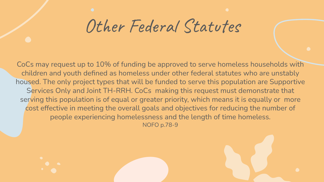Other Federal Statutes

CoCs may request up to 10% of funding be approved to serve homeless households with children and youth defined as homeless under other federal statutes who are unstably housed. The only project types that will be funded to serve this population are Supportive Services Only and Joint TH-RRH. CoCs making this request must demonstrate that serving this population is of equal or greater priority, which means it is equally or more cost effective in meeting the overall goals and objectives for reducing the number of people experiencing homelessness and the length of time homeless. NOFO p.78-9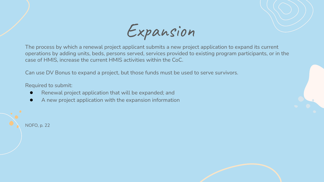Expansion

The process by which a renewal project applicant submits a new project application to expand its current operations by adding units, beds, persons served, services provided to existing program participants, or in the case of HMIS, increase the current HMIS activities within the CoC.

Can use DV Bonus to expand a project, but those funds must be used to serve survivors.

Required to submit:

- Renewal project application that will be expanded; and
- A new project application with the expansion information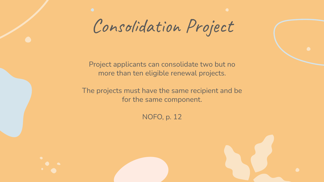Consolidation Project

Project applicants can consolidate two but no more than ten eligible renewal projects.

The projects must have the same recipient and be for the same component.

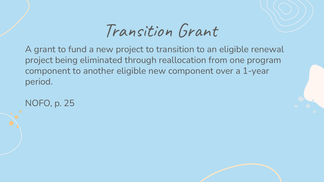## Transition Grant

A grant to fund a new project to transition to an eligible renewal project being eliminated through reallocation from one program component to another eligible new component over a 1-year period.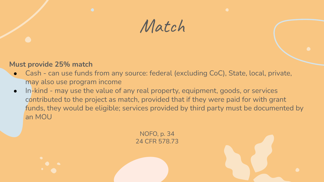

### **Must provide 25% match**

- Cash can use funds from any source: federal (excluding CoC), State, local, private, may also use program income
- In-kind may use the value of any real property, equipment, goods, or services contributed to the project as match, provided that if they were paid for with grant funds, they would be eligible; services provided by third party must be documented by an MOU

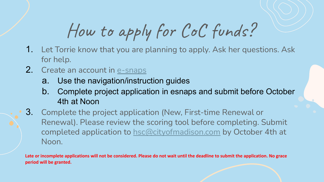# How to apply for CoC funds?

- **1.** Let Torrie know that you are planning to apply. Ask her questions. Ask for help.
- 2. Create an account in [e-snaps](https://www.hudexchange.info/programs/e-snaps/)
	- a. Use the navigation/instruction guides
	- b. Complete project application in esnaps and submit before October 4th at Noon
- 3. Complete the project application (New, First-time Renewal or Renewal). Please review the scoring tool before completing. Submit completed application to [hsc@cityofmadison.com](mailto:hsc@cityofmadison.com) by October 4th at Noon.

**Late or incomplete applications will not be considered. Please do not wait until the deadline to submit the application. No grace period will be granted.**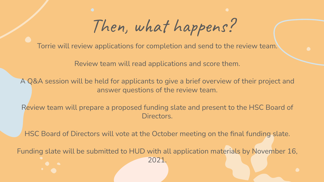Then, what happens?

Torrie will review applications for completion and send to the review team.

Review team will read applications and score them.

A Q&A session will be held for applicants to give a brief overview of their project and answer questions of the review team.

Review team will prepare a proposed funding slate and present to the HSC Board of Directors.

HSC Board of Directors will vote at the October meeting on the final funding slate.

Funding slate will be submitted to HUD with all application materials by November 16, 2021.